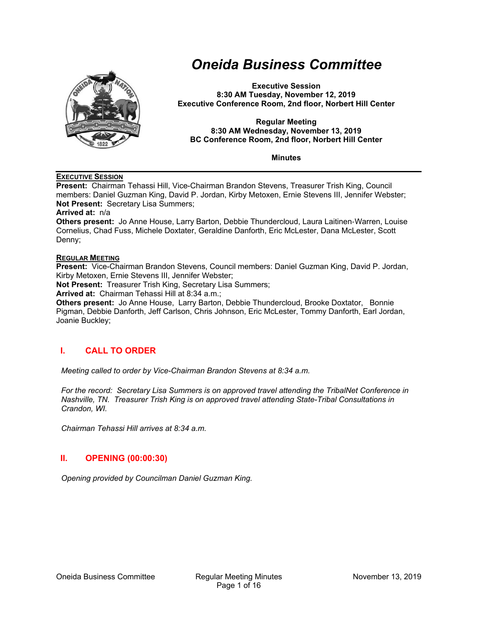

# *Oneida Business Committee*

**Executive Session 8:30 AM Tuesday, November 12, 2019 Executive Conference Room, 2nd floor, Norbert Hill Center** 

#### **Regular Meeting 8:30 AM Wednesday, November 13, 2019 BC Conference Room, 2nd floor, Norbert Hill Center**

**Minutes** 

#### **EXECUTIVE SESSION**

**Present:** Chairman Tehassi Hill, Vice-Chairman Brandon Stevens, Treasurer Trish King, Council members: Daniel Guzman King, David P. Jordan, Kirby Metoxen, Ernie Stevens III, Jennifer Webster; **Not Present:** Secretary Lisa Summers;

**Arrived at:** n/a

**Others present:** Jo Anne House, Larry Barton, Debbie Thundercloud, Laura Laitinen‐Warren, Louise Cornelius, Chad Fuss, Michele Doxtater, Geraldine Danforth, Eric McLester, Dana McLester, Scott Denny;

#### **REGULAR MEETING**

**Present:** Vice-Chairman Brandon Stevens, Council members: Daniel Guzman King, David P. Jordan, Kirby Metoxen, Ernie Stevens III, Jennifer Webster;

**Not Present:** Treasurer Trish King, Secretary Lisa Summers;

**Arrived at:** Chairman Tehassi Hill at 8:34 a.m.;

**Others present:** Jo Anne House, Larry Barton, Debbie Thundercloud, Brooke Doxtator, Bonnie Pigman, Debbie Danforth, Jeff Carlson, Chris Johnson, Eric McLester, Tommy Danforth, Earl Jordan, Joanie Buckley;

## **I. CALL TO ORDER**

*Meeting called to order by Vice-Chairman Brandon Stevens at 8:34 a.m.* 

*For the record: Secretary Lisa Summers is on approved travel attending the TribalNet Conference in Nashville, TN. Treasurer Trish King is on approved travel attending State-Tribal Consultations in Crandon, WI.* 

*Chairman Tehassi Hill arrives at 8:34 a.m.* 

## **II. OPENING (00:00:30)**

*Opening provided by Councilman Daniel Guzman King.*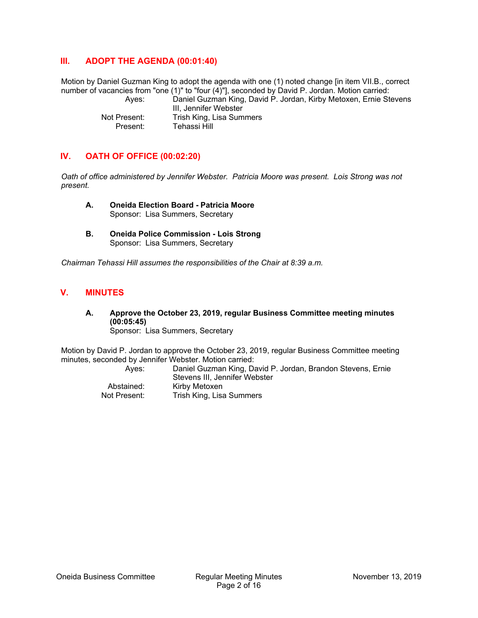## **III. ADOPT THE AGENDA (00:01:40)**

Motion by Daniel Guzman King to adopt the agenda with one (1) noted change [in item VII.B., correct number of vacancies from "one (1)" to "four (4)"], seconded by David P. Jordan. Motion carried: Ayes: Daniel Guzman King, David P. Jordan, Kirby Metoxen, Ernie Stevens III, Jennifer Webster

 Not Present: Trish King, Lisa Summers Present: Tehassi Hill

## **IV. OATH OF OFFICE (00:02:20)**

*Oath of office administered by Jennifer Webster. Patricia Moore was present. Lois Strong was not present.* 

- **A. Oneida Election Board Patricia Moore**  Sponsor: Lisa Summers, Secretary
- **B. Oneida Police Commission Lois Strong**  Sponsor: Lisa Summers, Secretary

*Chairman Tehassi Hill assumes the responsibilities of the Chair at 8:39 a.m.* 

## **V. MINUTES**

**A. Approve the October 23, 2019, regular Business Committee meeting minutes (00:05:45)**  Sponsor: Lisa Summers, Secretary

Motion by David P. Jordan to approve the October 23, 2019, regular Business Committee meeting minutes, seconded by Jennifer Webster. Motion carried:

 Ayes: Daniel Guzman King, David P. Jordan, Brandon Stevens, Ernie Stevens III, Jennifer Webster Abstained: Kirby Metoxen Not Present: Trish King, Lisa Summers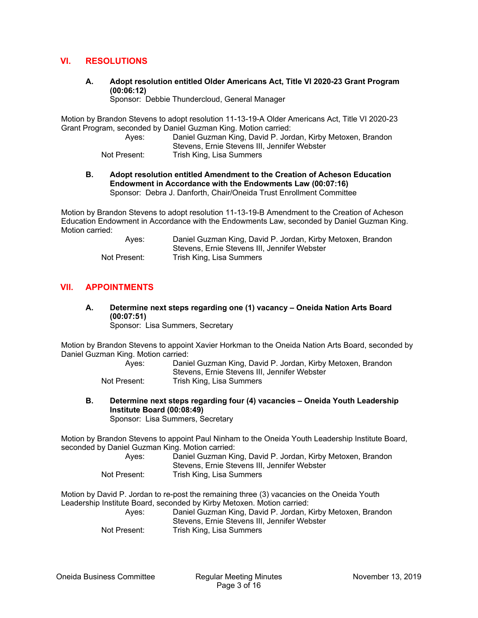## **VI. RESOLUTIONS**

**A. Adopt resolution entitled Older Americans Act, Title VI 2020-23 Grant Program (00:06:12)** 

Sponsor: Debbie Thundercloud, General Manager

Motion by Brandon Stevens to adopt resolution 11-13-19-A Older Americans Act, Title VI 2020-23 Grant Program, seconded by Daniel Guzman King. Motion carried:

 Ayes: Daniel Guzman King, David P. Jordan, Kirby Metoxen, Brandon Stevens, Ernie Stevens III, Jennifer Webster

Not Present: Trish King, Lisa Summers

**B. Adopt resolution entitled Amendment to the Creation of Acheson Education Endowment in Accordance with the Endowments Law (00:07:16)**  Sponsor: Debra J. Danforth, Chair/Oneida Trust Enrollment Committee

Motion by Brandon Stevens to adopt resolution 11-13-19-B Amendment to the Creation of Acheson Education Endowment in Accordance with the Endowments Law, seconded by Daniel Guzman King. Motion carried:

| Aves:        | Daniel Guzman King, David P. Jordan, Kirby Metoxen, Brandon |
|--------------|-------------------------------------------------------------|
|              | Stevens, Ernie Stevens III, Jennifer Webster                |
| Not Present: | Trish King, Lisa Summers                                    |

## **VII. APPOINTMENTS**

**A. Determine next steps regarding one (1) vacancy – Oneida Nation Arts Board (00:07:51)** 

Sponsor: Lisa Summers, Secretary

Motion by Brandon Stevens to appoint Xavier Horkman to the Oneida Nation Arts Board, seconded by Daniel Guzman King. Motion carried:

| Aves:        | Daniel Guzman King, David P. Jordan, Kirby Metoxen, Brandon |
|--------------|-------------------------------------------------------------|
|              | Stevens, Ernie Stevens III, Jennifer Webster                |
| Not Present: | Trish King, Lisa Summers                                    |

**B. Determine next steps regarding four (4) vacancies – Oneida Youth Leadership Institute Board (00:08:49)**  Sponsor: Lisa Summers, Secretary

Motion by Brandon Stevens to appoint Paul Ninham to the Oneida Youth Leadership Institute Board, seconded by Daniel Guzman King. Motion carried:

| Aves:        | Daniel Guzman King, David P. Jordan, Kirby Metoxen, Brandon |
|--------------|-------------------------------------------------------------|
|              | Stevens, Ernie Stevens III, Jennifer Webster                |
| Not Present: | Trish King, Lisa Summers                                    |

Motion by David P. Jordan to re-post the remaining three (3) vacancies on the Oneida Youth Leadership Institute Board, seconded by Kirby Metoxen. Motion carried:

 Ayes: Daniel Guzman King, David P. Jordan, Kirby Metoxen, Brandon Stevens, Ernie Stevens III, Jennifer Webster Not Present: Trish King, Lisa Summers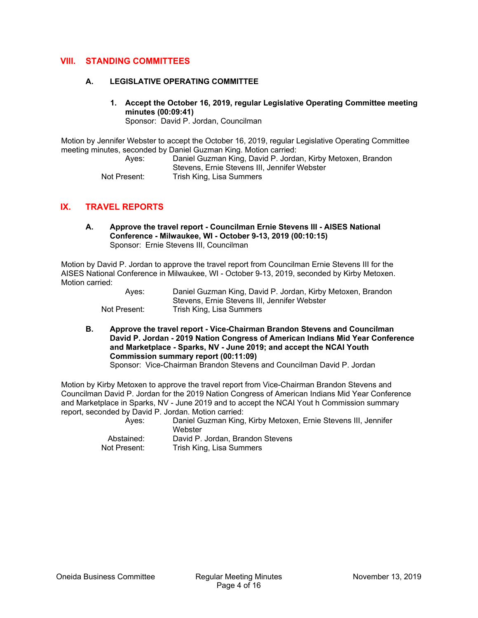## **VIII. STANDING COMMITTEES**

#### **A. LEGISLATIVE OPERATING COMMITTEE**

**1. Accept the October 16, 2019, regular Legislative Operating Committee meeting minutes (00:09:41)** 

Sponsor: David P. Jordan, Councilman

Motion by Jennifer Webster to accept the October 16, 2019, regular Legislative Operating Committee meeting minutes, seconded by Daniel Guzman King. Motion carried:

 Ayes: Daniel Guzman King, David P. Jordan, Kirby Metoxen, Brandon Stevens, Ernie Stevens III, Jennifer Webster Not Present: Trish King, Lisa Summers

## **IX. TRAVEL REPORTS**

**A. Approve the travel report - Councilman Ernie Stevens III - AISES National Conference - Milwaukee, WI - October 9-13, 2019 (00:10:15)**  Sponsor: Ernie Stevens III, Councilman

Motion by David P. Jordan to approve the travel report from Councilman Ernie Stevens III for the AISES National Conference in Milwaukee, WI - October 9-13, 2019, seconded by Kirby Metoxen. Motion carried:

| Aves:        | Daniel Guzman King, David P. Jordan, Kirby Metoxen, Brandon |
|--------------|-------------------------------------------------------------|
|              | Stevens. Ernie Stevens III. Jennifer Webster                |
| Not Present: | Trish King, Lisa Summers                                    |

**B. Approve the travel report - Vice-Chairman Brandon Stevens and Councilman David P. Jordan - 2019 Nation Congress of American Indians Mid Year Conference and Marketplace - Sparks, NV - June 2019; and accept the NCAI Youth Commission summary report (00:11:09)** 

Sponsor: Vice-Chairman Brandon Stevens and Councilman David P. Jordan

Motion by Kirby Metoxen to approve the travel report from Vice-Chairman Brandon Stevens and Councilman David P. Jordan for the 2019 Nation Congress of American Indians Mid Year Conference and Marketplace in Sparks, NV - June 2019 and to accept the NCAI Yout h Commission summary report, seconded by David P. Jordan. Motion carried:

 Ayes: Daniel Guzman King, Kirby Metoxen, Ernie Stevens III, Jennifer **Webster**  Abstained: David P. Jordan, Brandon Stevens Not Present: Trish King, Lisa Summers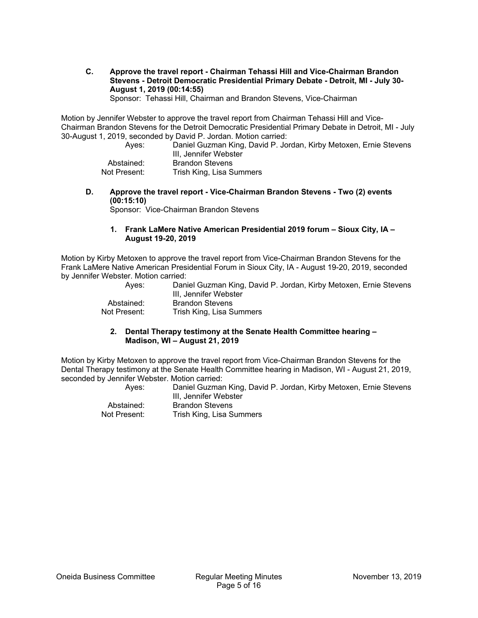**C. Approve the travel report - Chairman Tehassi Hill and Vice-Chairman Brandon Stevens - Detroit Democratic Presidential Primary Debate - Detroit, MI - July 30- August 1, 2019 (00:14:55)** 

Sponsor: Tehassi Hill, Chairman and Brandon Stevens, Vice-Chairman

Motion by Jennifer Webster to approve the travel report from Chairman Tehassi Hill and Vice-Chairman Brandon Stevens for the Detroit Democratic Presidential Primary Debate in Detroit, MI - July 30-August 1, 2019, seconded by David P. Jordan. Motion carried:

| Aves:        | Daniel Guzman King, David P. Jordan, Kirby Metoxen, Ernie Stevens<br>III. Jennifer Webster |
|--------------|--------------------------------------------------------------------------------------------|
| Abstained:   | <b>Brandon Stevens</b>                                                                     |
| Not Present: | Trish King, Lisa Summers                                                                   |

**D. Approve the travel report - Vice-Chairman Brandon Stevens - Two (2) events (00:15:10)** 

Sponsor: Vice-Chairman Brandon Stevens

#### **1. Frank LaMere Native American Presidential 2019 forum – Sioux City, IA – August 19-20, 2019**

Motion by Kirby Metoxen to approve the travel report from Vice-Chairman Brandon Stevens for the Frank LaMere Native American Presidential Forum in Sioux City, IA - August 19-20, 2019, seconded by Jennifer Webster. Motion carried:

| Aves:        | Daniel Guzman King, David P. Jordan, Kirby Metoxen, Ernie Stevens<br>III, Jennifer Webster |
|--------------|--------------------------------------------------------------------------------------------|
| Abstained:   | <b>Brandon Stevens</b>                                                                     |
| Not Present: | Trish King, Lisa Summers                                                                   |

#### **2. Dental Therapy testimony at the Senate Health Committee hearing – Madison, WI – August 21, 2019**

Motion by Kirby Metoxen to approve the travel report from Vice-Chairman Brandon Stevens for the Dental Therapy testimony at the Senate Health Committee hearing in Madison, WI - August 21, 2019, seconded by Jennifer Webster. Motion carried:

 Ayes: Daniel Guzman King, David P. Jordan, Kirby Metoxen, Ernie Stevens III, Jennifer Webster Abstained: Brandon Stevens Not Present: Trish King, Lisa Summers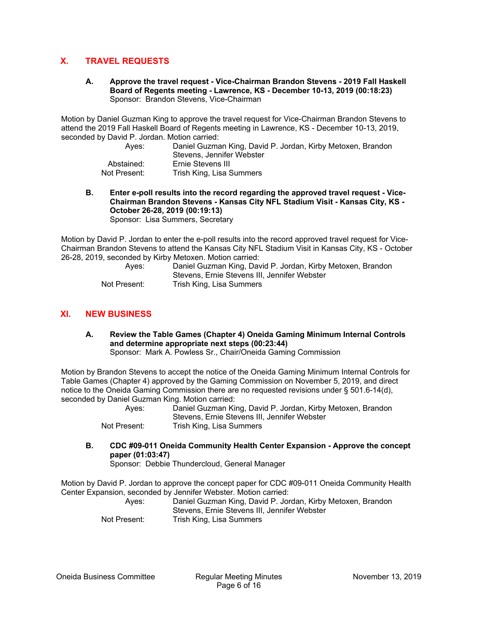## **X. TRAVEL REQUESTS**

**A. Approve the travel request - Vice-Chairman Brandon Stevens - 2019 Fall Haskell Board of Regents meeting - Lawrence, KS - December 10-13, 2019 (00:18:23)**  Sponsor: Brandon Stevens, Vice-Chairman

Motion by Daniel Guzman King to approve the travel request for Vice-Chairman Brandon Stevens to attend the 2019 Fall Haskell Board of Regents meeting in Lawrence, KS - December 10-13, 2019, seconded by David P. Jordan. Motion carried:

| Aves:        | Daniel Guzman King, David P. Jordan, Kirby Metoxen, Brandon<br>Stevens. Jennifer Webster |
|--------------|------------------------------------------------------------------------------------------|
| Abstained:   | Ernie Stevens III                                                                        |
| Not Present: | Trish King, Lisa Summers                                                                 |

**B. Enter e-poll results into the record regarding the approved travel request - Vice-Chairman Brandon Stevens - Kansas City NFL Stadium Visit - Kansas City, KS - October 26-28, 2019 (00:19:13)** 

Sponsor: Lisa Summers, Secretary

Motion by David P. Jordan to enter the e-poll results into the record approved travel request for Vice-Chairman Brandon Stevens to attend the Kansas City NFL Stadium Visit in Kansas City, KS - October 26-28, 2019, seconded by Kirby Metoxen. Motion carried:

| Aves:        | Daniel Guzman King, David P. Jordan, Kirby Metoxen, Brandon |
|--------------|-------------------------------------------------------------|
|              | Stevens, Ernie Stevens III, Jennifer Webster                |
| Not Present: | Trish King, Lisa Summers                                    |

## **XI. NEW BUSINESS**

**A. Review the Table Games (Chapter 4) Oneida Gaming Minimum Internal Controls and determine appropriate next steps (00:23:44)**  Sponsor: Mark A. Powless Sr., Chair/Oneida Gaming Commission

Motion by Brandon Stevens to accept the notice of the Oneida Gaming Minimum Internal Controls for Table Games (Chapter 4) approved by the Gaming Commission on November 5, 2019, and direct notice to the Oneida Gaming Commission there are no requested revisions under § 501.6-14(d), seconded by Daniel Guzman King. Motion carried:

| Aves:        | Daniel Guzman King, David P. Jordan, Kirby Metoxen, Brandon |
|--------------|-------------------------------------------------------------|
|              | Stevens, Ernie Stevens III, Jennifer Webster                |
| Not Present: | Trish King, Lisa Summers                                    |

**B. CDC #09-011 Oneida Community Health Center Expansion - Approve the concept paper (01:03:47)** 

Sponsor: Debbie Thundercloud, General Manager

Motion by David P. Jordan to approve the concept paper for CDC #09-011 Oneida Community Health Center Expansion, seconded by Jennifer Webster. Motion carried:

 Ayes: Daniel Guzman King, David P. Jordan, Kirby Metoxen, Brandon Stevens, Ernie Stevens III, Jennifer Webster Not Present: Trish King, Lisa Summers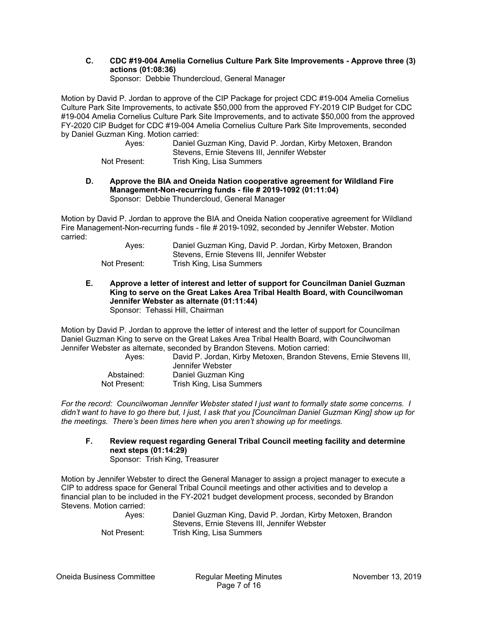**C. CDC #19-004 Amelia Cornelius Culture Park Site Improvements - Approve three (3) actions (01:08:36)** 

Sponsor: Debbie Thundercloud, General Manager

Motion by David P. Jordan to approve of the CIP Package for project CDC #19-004 Amelia Cornelius Culture Park Site Improvements, to activate \$50,000 from the approved FY-2019 CIP Budget for CDC #19-004 Amelia Cornelius Culture Park Site Improvements, and to activate \$50,000 from the approved FY-2020 CIP Budget for CDC #19-004 Amelia Cornelius Culture Park Site Improvements, seconded by Daniel Guzman King. Motion carried:

| Aves:        | Daniel Guzman King, David P. Jordan, Kirby Metoxen, Brandon |
|--------------|-------------------------------------------------------------|
|              | Stevens, Ernie Stevens III, Jennifer Webster                |
| Not Present: | Trish King, Lisa Summers                                    |

**D. Approve the BIA and Oneida Nation cooperative agreement for Wildland Fire Management-Non-recurring funds - file # 2019-1092 (01:11:04)**  Sponsor: Debbie Thundercloud, General Manager

Motion by David P. Jordan to approve the BIA and Oneida Nation cooperative agreement for Wildland Fire Management-Non-recurring funds - file # 2019-1092, seconded by Jennifer Webster. Motion carried:

| Aves:        | Daniel Guzman King, David P. Jordan, Kirby Metoxen, Brandon |
|--------------|-------------------------------------------------------------|
|              | Stevens, Ernie Stevens III, Jennifer Webster                |
| Not Present: | Trish King, Lisa Summers                                    |

**E. Approve a letter of interest and letter of support for Councilman Daniel Guzman King to serve on the Great Lakes Area Tribal Health Board, with Councilwoman Jennifer Webster as alternate (01:11:44)**  Sponsor: Tehassi Hill, Chairman

Motion by David P. Jordan to approve the letter of interest and the letter of support for Councilman Daniel Guzman King to serve on the Great Lakes Area Tribal Health Board, with Councilwoman Jennifer Webster as alternate, seconded by Brandon Stevens. Motion carried:

| Aves:        | David P. Jordan, Kirby Metoxen, Brandon Stevens, Ernie Stevens III,<br>Jennifer Webster |
|--------------|-----------------------------------------------------------------------------------------|
| Abstained:   | Daniel Guzman King                                                                      |
| Not Present: | Trish King, Lisa Summers                                                                |

*For the record: Councilwoman Jennifer Webster stated I just want to formally state some concerns. I didn't want to have to go there but, I just, I ask that you [Councilman Daniel Guzman King] show up for the meetings. There's been times here when you aren't showing up for meetings.* 

**F. Review request regarding General Tribal Council meeting facility and determine next steps (01:14:29)**  Sponsor: Trish King, Treasurer

Motion by Jennifer Webster to direct the General Manager to assign a project manager to execute a CIP to address space for General Tribal Council meetings and other activities and to develop a financial plan to be included in the FY-2021 budget development process, seconded by Brandon Stevens. Motion carried:

| Aves:        | Daniel Guzman King, David P. Jordan, Kirby Metoxen, Brandon |
|--------------|-------------------------------------------------------------|
|              | Stevens, Ernie Stevens III, Jennifer Webster                |
| Not Present: | Trish King, Lisa Summers                                    |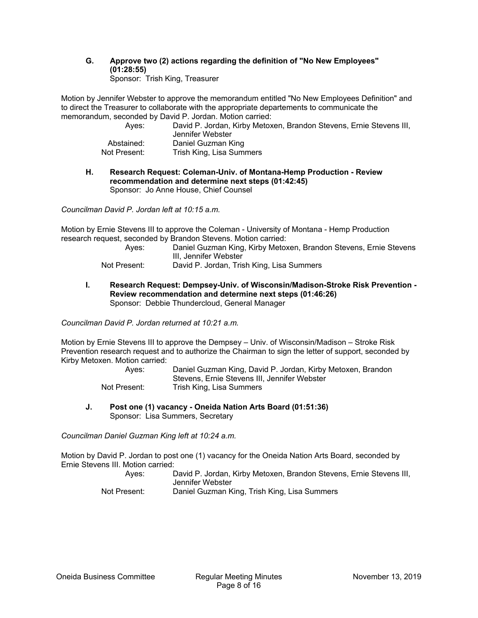#### **G. Approve two (2) actions regarding the definition of "No New Employees" (01:28:55)**  Sponsor: Trish King, Treasurer

Motion by Jennifer Webster to approve the memorandum entitled "No New Employees Definition" and to direct the Treasurer to collaborate with the appropriate departements to communicate the memorandum, seconded by David P. Jordan. Motion carried:

| Aves:        | David P. Jordan, Kirby Metoxen, Brandon Stevens, Ernie Stevens III,<br>Jennifer Webster |
|--------------|-----------------------------------------------------------------------------------------|
| Abstained:   | Daniel Guzman King                                                                      |
| Not Present: | Trish King, Lisa Summers                                                                |

#### **H. Research Request: Coleman-Univ. of Montana-Hemp Production - Review recommendation and determine next steps (01:42:45)**  Sponsor: Jo Anne House, Chief Counsel

*Councilman David P. Jordan left at 10:15 a.m.* 

Motion by Ernie Stevens III to approve the Coleman - University of Montana - Hemp Production research request, seconded by Brandon Stevens. Motion carried:

- Ayes: Daniel Guzman King, Kirby Metoxen, Brandon Stevens, Ernie Stevens III, Jennifer Webster
- Not Present: David P. Jordan, Trish King, Lisa Summers
- **I. Research Request: Dempsey-Univ. of Wisconsin/Madison-Stroke Risk Prevention Review recommendation and determine next steps (01:46:26)**  Sponsor: Debbie Thundercloud, General Manager

*Councilman David P. Jordan returned at 10:21 a.m.* 

Motion by Ernie Stevens III to approve the Dempsey – Univ. of Wisconsin/Madison – Stroke Risk Prevention research request and to authorize the Chairman to sign the letter of support, seconded by Kirby Metoxen. Motion carried:

| Aves:        | Daniel Guzman King, David P. Jordan, Kirby Metoxen, Brandon |
|--------------|-------------------------------------------------------------|
|              | Stevens, Ernie Stevens III, Jennifer Webster                |
| Not Present: | Trish King, Lisa Summers                                    |

**J. Post one (1) vacancy - Oneida Nation Arts Board (01:51:36)**  Sponsor: Lisa Summers, Secretary

*Councilman Daniel Guzman King left at 10:24 a.m.* 

Motion by David P. Jordan to post one (1) vacancy for the Oneida Nation Arts Board, seconded by Ernie Stevens III. Motion carried:

 Ayes: David P. Jordan, Kirby Metoxen, Brandon Stevens, Ernie Stevens III, Jennifer Webster Not Present: Daniel Guzman King, Trish King, Lisa Summers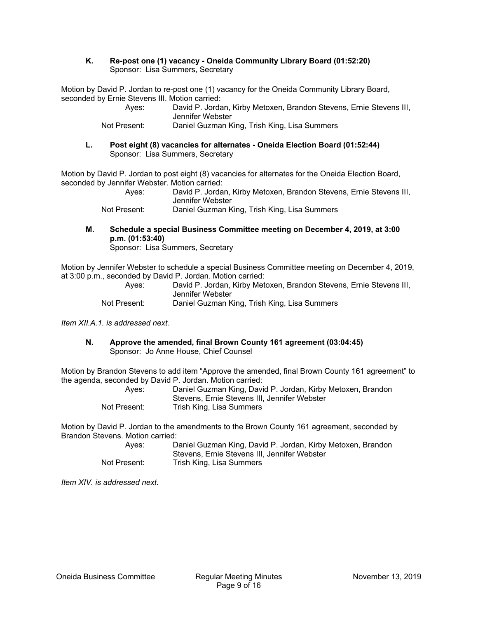#### **K. Re-post one (1) vacancy - Oneida Community Library Board (01:52:20)**  Sponsor: Lisa Summers, Secretary

Motion by David P. Jordan to re-post one (1) vacancy for the Oneida Community Library Board, seconded by Ernie Stevens III. Motion carried:

| Aves:        | David P. Jordan, Kirby Metoxen, Brandon Stevens, Ernie Stevens III, |
|--------------|---------------------------------------------------------------------|
|              | Jennifer Webster                                                    |
| Not Present: | Daniel Guzman King, Trish King, Lisa Summers                        |

**L. Post eight (8) vacancies for alternates - Oneida Election Board (01:52:44)**  Sponsor: Lisa Summers, Secretary

Motion by David P. Jordan to post eight (8) vacancies for alternates for the Oneida Election Board, seconded by Jennifer Webster. Motion carried:

 Ayes: David P. Jordan, Kirby Metoxen, Brandon Stevens, Ernie Stevens III, Jennifer Webster

Not Present: Daniel Guzman King, Trish King, Lisa Summers

**M. Schedule a special Business Committee meeting on December 4, 2019, at 3:00 p.m. (01:53:40)** 

Sponsor: Lisa Summers, Secretary

Motion by Jennifer Webster to schedule a special Business Committee meeting on December 4, 2019, at 3:00 p.m., seconded by David P. Jordan. Motion carried:

| Aves:        | David P. Jordan, Kirby Metoxen, Brandon Stevens, Ernie Stevens III,<br>Jennifer Webster |
|--------------|-----------------------------------------------------------------------------------------|
| Not Present: | Daniel Guzman King, Trish King, Lisa Summers                                            |

*Item XII.A.1. is addressed next.* 

**N. Approve the amended, final Brown County 161 agreement (03:04:45)**  Sponsor: Jo Anne House, Chief Counsel

Motion by Brandon Stevens to add item "Approve the amended, final Brown County 161 agreement" to the agenda, seconded by David P. Jordan. Motion carried:

| Aves:        | Daniel Guzman King, David P. Jordan, Kirby Metoxen, Brandon |
|--------------|-------------------------------------------------------------|
|              | Stevens, Ernie Stevens III, Jennifer Webster                |
| Not Present: | Trish King, Lisa Summers                                    |

Motion by David P. Jordan to the amendments to the Brown County 161 agreement, seconded by Brandon Stevens. Motion carried:

| Aves:        | Daniel Guzman King, David P. Jordan, Kirby Metoxen, Brandon |
|--------------|-------------------------------------------------------------|
|              | Stevens, Ernie Stevens III, Jennifer Webster                |
| Not Present: | Trish King, Lisa Summers                                    |

*Item XIV. is addressed next.*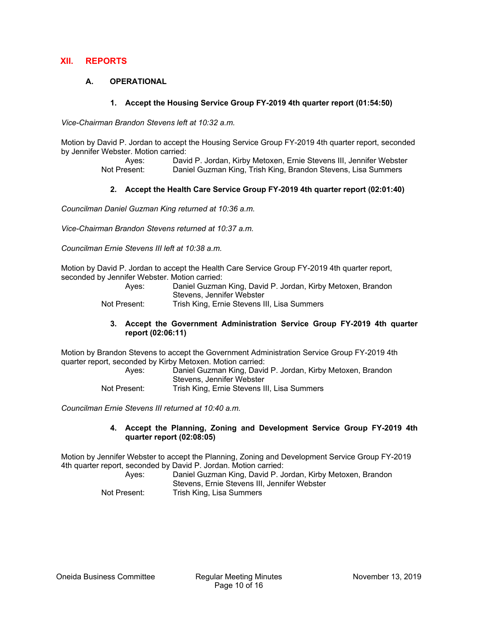## **XII. REPORTS**

## **A. OPERATIONAL**

#### **1. Accept the Housing Service Group FY-2019 4th quarter report (01:54:50)**

*Vice-Chairman Brandon Stevens left at 10:32 a.m.* 

Motion by David P. Jordan to accept the Housing Service Group FY-2019 4th quarter report, seconded by Jennifer Webster. Motion carried:

> Ayes: David P. Jordan, Kirby Metoxen, Ernie Stevens III, Jennifer Webster Not Present: Daniel Guzman King, Trish King, Brandon Stevens, Lisa Summers

#### **2. Accept the Health Care Service Group FY-2019 4th quarter report (02:01:40)**

*Councilman Daniel Guzman King returned at 10:36 a.m.* 

*Vice-Chairman Brandon Stevens returned at 10:37 a.m.* 

*Councilman Ernie Stevens III left at 10:38 a.m.* 

Motion by David P. Jordan to accept the Health Care Service Group FY-2019 4th quarter report, seconded by Jennifer Webster. Motion carried:

| Aves:        | Daniel Guzman King, David P. Jordan, Kirby Metoxen, Brandon |
|--------------|-------------------------------------------------------------|
|              | Stevens, Jennifer Webster                                   |
| Not Present: | Trish King, Ernie Stevens III, Lisa Summers                 |

#### **3. Accept the Government Administration Service Group FY-2019 4th quarter report (02:06:11)**

Motion by Brandon Stevens to accept the Government Administration Service Group FY-2019 4th quarter report, seconded by Kirby Metoxen. Motion carried:

| Aves:        | Daniel Guzman King, David P. Jordan, Kirby Metoxen, Brandon |
|--------------|-------------------------------------------------------------|
|              | Stevens, Jennifer Webster                                   |
| Not Present: | Trish King, Ernie Stevens III, Lisa Summers                 |

*Councilman Ernie Stevens III returned at 10:40 a.m.* 

#### **4. Accept the Planning, Zoning and Development Service Group FY-2019 4th quarter report (02:08:05)**

Motion by Jennifer Webster to accept the Planning, Zoning and Development Service Group FY-2019 4th quarter report, seconded by David P. Jordan. Motion carried:

| Aves:        | Daniel Guzman King, David P. Jordan, Kirby Metoxen, Brandon |
|--------------|-------------------------------------------------------------|
|              | Stevens, Ernie Stevens III, Jennifer Webster                |
| Not Present: | Trish King, Lisa Summers                                    |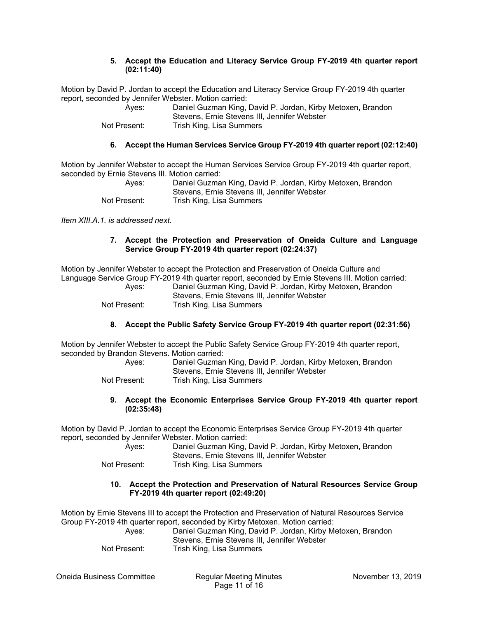#### **5. Accept the Education and Literacy Service Group FY-2019 4th quarter report (02:11:40)**

Motion by David P. Jordan to accept the Education and Literacy Service Group FY-2019 4th quarter report, seconded by Jennifer Webster. Motion carried:

| Aves:        | Daniel Guzman King, David P. Jordan, Kirby Metoxen, Brandon |
|--------------|-------------------------------------------------------------|
|              | Stevens, Ernie Stevens III, Jennifer Webster                |
| Not Present: | Trish King, Lisa Summers                                    |

## **6. Accept the Human Services Service Group FY-2019 4th quarter report (02:12:40)**

Motion by Jennifer Webster to accept the Human Services Service Group FY-2019 4th quarter report, seconded by Ernie Stevens III. Motion carried:

| Aves:        | Daniel Guzman King, David P. Jordan, Kirby Metoxen, Brandon |
|--------------|-------------------------------------------------------------|
|              | Stevens, Ernie Stevens III, Jennifer Webster                |
| Not Present: | Trish King, Lisa Summers                                    |

*Item XIII.A.1. is addressed next.* 

#### **7. Accept the Protection and Preservation of Oneida Culture and Language Service Group FY-2019 4th quarter report (02:24:37)**

Motion by Jennifer Webster to accept the Protection and Preservation of Oneida Culture and Language Service Group FY-2019 4th quarter report, seconded by Ernie Stevens III. Motion carried: Ayes: Daniel Guzman King, David P. Jordan, Kirby Metoxen, Brandon

| Aves:        | Daniel Guzman King, David P. Jordan, Kirby Metoxen, Brandon |
|--------------|-------------------------------------------------------------|
|              | Stevens. Ernie Stevens III. Jennifer Webster                |
| Not Present: | Trish King, Lisa Summers                                    |

## **8. Accept the Public Safety Service Group FY-2019 4th quarter report (02:31:56)**

Motion by Jennifer Webster to accept the Public Safety Service Group FY-2019 4th quarter report, seconded by Brandon Stevens. Motion carried:

| Aves:        | Daniel Guzman King, David P. Jordan, Kirby Metoxen, Brandon |
|--------------|-------------------------------------------------------------|
|              | Stevens, Ernie Stevens III, Jennifer Webster                |
| Not Present: | Trish King, Lisa Summers                                    |

#### **9. Accept the Economic Enterprises Service Group FY-2019 4th quarter report (02:35:48)**

Motion by David P. Jordan to accept the Economic Enterprises Service Group FY-2019 4th quarter report, seconded by Jennifer Webster. Motion carried:

| Aves:        | Daniel Guzman King, David P. Jordan, Kirby Metoxen, Brandon |
|--------------|-------------------------------------------------------------|
|              | Stevens, Ernie Stevens III, Jennifer Webster                |
| Not Present: | Trish King, Lisa Summers                                    |

#### **10. Accept the Protection and Preservation of Natural Resources Service Group FY-2019 4th quarter report (02:49:20)**

Motion by Ernie Stevens III to accept the Protection and Preservation of Natural Resources Service Group FY-2019 4th quarter report, seconded by Kirby Metoxen. Motion carried:

| Aves:        | Daniel Guzman King, David P. Jordan, Kirby Metoxen, Brandon |
|--------------|-------------------------------------------------------------|
|              | Stevens, Ernie Stevens III, Jennifer Webster                |
| Not Present: | Trish King, Lisa Summers                                    |

Oneida Business Committee Regular Meeting Minutes November 13, 2019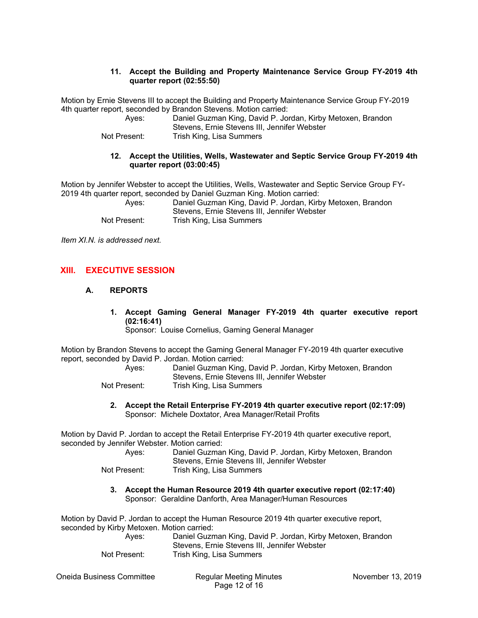#### **11. Accept the Building and Property Maintenance Service Group FY-2019 4th quarter report (02:55:50)**

Motion by Ernie Stevens III to accept the Building and Property Maintenance Service Group FY-2019 4th quarter report, seconded by Brandon Stevens. Motion carried:

| Aves:        | Daniel Guzman King, David P. Jordan, Kirby Metoxen, Brandon |
|--------------|-------------------------------------------------------------|
|              | Stevens, Ernie Stevens III, Jennifer Webster                |
| Not Present: | Trish King, Lisa Summers                                    |

#### **12. Accept the Utilities, Wells, Wastewater and Septic Service Group FY-2019 4th quarter report (03:00:45)**

Motion by Jennifer Webster to accept the Utilities, Wells, Wastewater and Septic Service Group FY-2019 4th quarter report, seconded by Daniel Guzman King. Motion carried:

| Aves:        | Daniel Guzman King, David P. Jordan, Kirby Metoxen, Brandon |
|--------------|-------------------------------------------------------------|
|              | Stevens, Ernie Stevens III, Jennifer Webster                |
| Not Present: | Trish King, Lisa Summers                                    |

*Item XI.N. is addressed next.* 

## **XIII. EXECUTIVE SESSION**

## **A. REPORTS**

**1. Accept Gaming General Manager FY-2019 4th quarter executive report (02:16:41)** 

Sponsor: Louise Cornelius, Gaming General Manager

Motion by Brandon Stevens to accept the Gaming General Manager FY-2019 4th quarter executive report, seconded by David P. Jordan. Motion carried:

| Aves:        | Daniel Guzman King, David P. Jordan, Kirby Metoxen, Brandon |
|--------------|-------------------------------------------------------------|
|              | Stevens, Ernie Stevens III, Jennifer Webster                |
| Not Present: | Trish King, Lisa Summers                                    |

**2. Accept the Retail Enterprise FY-2019 4th quarter executive report (02:17:09)**  Sponsor: Michele Doxtator, Area Manager/Retail Profits

Motion by David P. Jordan to accept the Retail Enterprise FY-2019 4th quarter executive report, seconded by Jennifer Webster. Motion carried:

| Aves:        | Daniel Guzman King, David P. Jordan, Kirby Metoxen, Brandon<br>Stevens, Ernie Stevens III, Jennifer Webster |
|--------------|-------------------------------------------------------------------------------------------------------------|
| Not Present: | Trish King, Lisa Summers                                                                                    |

**3. Accept the Human Resource 2019 4th quarter executive report (02:17:40)**  Sponsor: Geraldine Danforth, Area Manager/Human Resources

Motion by David P. Jordan to accept the Human Resource 2019 4th quarter executive report, seconded by Kirby Metoxen. Motion carried:

| Aves:        | Daniel Guzman King, David P. Jordan, Kirby Metoxen, Brandon |
|--------------|-------------------------------------------------------------|
|              | Stevens, Ernie Stevens III, Jennifer Webster                |
| Not Present: | Trish King, Lisa Summers                                    |

Oneida Business Committee Regular Meeting Minutes November 13, 2019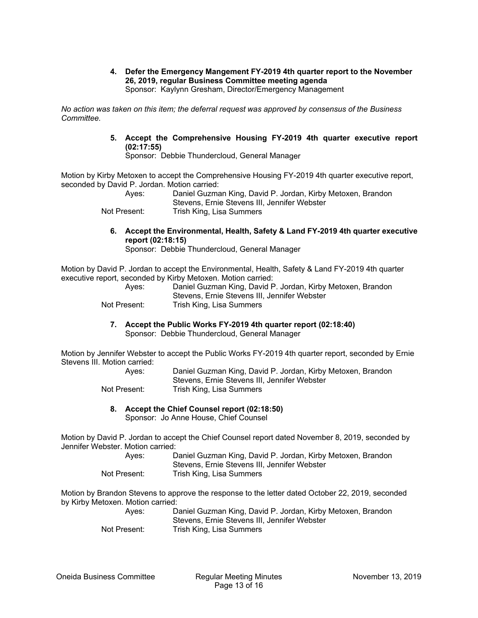**4. Defer the Emergency Mangement FY-2019 4th quarter report to the November 26, 2019, regular Business Committee meeting agenda**  Sponsor: Kaylynn Gresham, Director/Emergency Management

*No action was taken on this item; the deferral request was approved by consensus of the Business Committee.* 

> **5. Accept the Comprehensive Housing FY-2019 4th quarter executive report (02:17:55)**

Sponsor: Debbie Thundercloud, General Manager

Motion by Kirby Metoxen to accept the Comprehensive Housing FY-2019 4th quarter executive report, seconded by David P. Jordan. Motion carried:

| Aves:        | Daniel Guzman King, David P. Jordan, Kirby Metoxen, Brandon |
|--------------|-------------------------------------------------------------|
|              | Stevens, Ernie Stevens III, Jennifer Webster                |
| Not Present: | Trish King, Lisa Summers                                    |

**6. Accept the Environmental, Health, Safety & Land FY-2019 4th quarter executive report (02:18:15)** 

Sponsor: Debbie Thundercloud, General Manager

Motion by David P. Jordan to accept the Environmental, Health, Safety & Land FY-2019 4th quarter executive report, seconded by Kirby Metoxen. Motion carried:

| Aves:        | Daniel Guzman King, David P. Jordan, Kirby Metoxen, Brandon |
|--------------|-------------------------------------------------------------|
|              | Stevens, Ernie Stevens III, Jennifer Webster                |
| Not Present: | Trish King, Lisa Summers                                    |

**7. Accept the Public Works FY-2019 4th quarter report (02:18:40)**  Sponsor: Debbie Thundercloud, General Manager

Motion by Jennifer Webster to accept the Public Works FY-2019 4th quarter report, seconded by Ernie Stevens III. Motion carried:

| Aves:        | Daniel Guzman King, David P. Jordan, Kirby Metoxen, Brandon |
|--------------|-------------------------------------------------------------|
|              | Stevens, Ernie Stevens III, Jennifer Webster                |
| Not Present: | Trish King, Lisa Summers                                    |

**8. Accept the Chief Counsel report (02:18:50)** 

Sponsor: Jo Anne House, Chief Counsel

Motion by David P. Jordan to accept the Chief Counsel report dated November 8, 2019, seconded by Jennifer Webster. Motion carried:

| Aves:        | Daniel Guzman King, David P. Jordan, Kirby Metoxen, Brandon |
|--------------|-------------------------------------------------------------|
|              | Stevens, Ernie Stevens III, Jennifer Webster                |
| Not Present: | Trish King, Lisa Summers                                    |

Motion by Brandon Stevens to approve the response to the letter dated October 22, 2019, seconded by Kirby Metoxen. Motion carried:

 Ayes: Daniel Guzman King, David P. Jordan, Kirby Metoxen, Brandon Stevens, Ernie Stevens III, Jennifer Webster Not Present: Trish King, Lisa Summers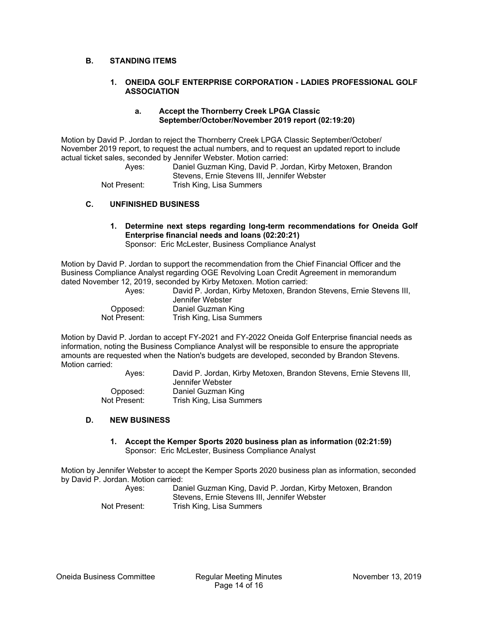#### **B. STANDING ITEMS**

#### **1. ONEIDA GOLF ENTERPRISE CORPORATION - LADIES PROFESSIONAL GOLF ASSOCIATION**

#### **a. Accept the Thornberry Creek LPGA Classic September/October/November 2019 report (02:19:20)**

Motion by David P. Jordan to reject the Thornberry Creek LPGA Classic September/October/ November 2019 report, to request the actual numbers, and to request an updated report to include actual ticket sales, seconded by Jennifer Webster. Motion carried:

 Ayes: Daniel Guzman King, David P. Jordan, Kirby Metoxen, Brandon Stevens, Ernie Stevens III, Jennifer Webster Not Present: Trish King, Lisa Summers

#### **C. UNFINISHED BUSINESS**

# **1. Determine next steps regarding long-term recommendations for Oneida Golf Enterprise financial needs and loans (02:20:21)**

Sponsor: Eric McLester, Business Compliance Analyst

Motion by David P. Jordan to support the recommendation from the Chief Financial Officer and the Business Compliance Analyst regarding OGE Revolving Loan Credit Agreement in memorandum dated November 12, 2019, seconded by Kirby Metoxen. Motion carried:

 Ayes: David P. Jordan, Kirby Metoxen, Brandon Stevens, Ernie Stevens III, Jennifer Webster Opposed: Daniel Guzman King Not Present: Trish King, Lisa Summers

Motion by David P. Jordan to accept FY-2021 and FY-2022 Oneida Golf Enterprise financial needs as information, noting the Business Compliance Analyst will be responsible to ensure the appropriate amounts are requested when the Nation's budgets are developed, seconded by Brandon Stevens. Motion carried:

 Ayes: David P. Jordan, Kirby Metoxen, Brandon Stevens, Ernie Stevens III, Jennifer Webster Opposed: Daniel Guzman King Not Present: Trish King, Lisa Summers

#### **D. NEW BUSINESS**

**1. Accept the Kemper Sports 2020 business plan as information (02:21:59)**  Sponsor: Eric McLester, Business Compliance Analyst

Motion by Jennifer Webster to accept the Kemper Sports 2020 business plan as information, seconded by David P. Jordan. Motion carried:

| Aves:        | Daniel Guzman King, David P. Jordan, Kirby Metoxen, Brandon |
|--------------|-------------------------------------------------------------|
|              | Stevens, Ernie Stevens III, Jennifer Webster                |
| Not Present: | Trish King, Lisa Summers                                    |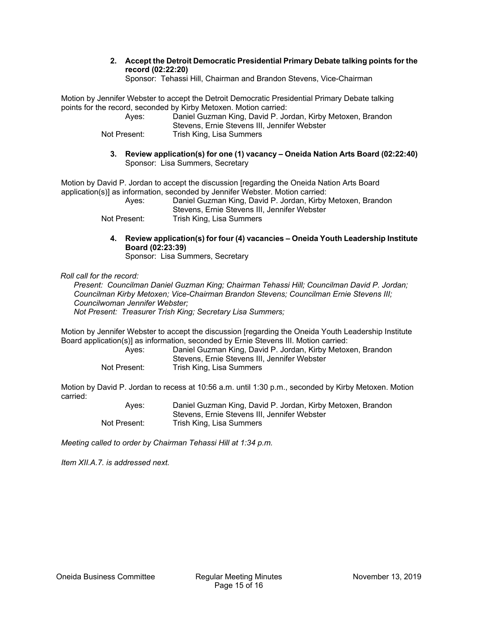**2. Accept the Detroit Democratic Presidential Primary Debate talking points for the record (02:22:20)** 

Sponsor: Tehassi Hill, Chairman and Brandon Stevens, Vice-Chairman

Motion by Jennifer Webster to accept the Detroit Democratic Presidential Primary Debate talking points for the record, seconded by Kirby Metoxen. Motion carried:

| Aves:        | Daniel Guzman King, David P. Jordan, Kirby Metoxen, Brandon |
|--------------|-------------------------------------------------------------|
|              | Stevens, Ernie Stevens III, Jennifer Webster                |
| Not Present: | Trish King, Lisa Summers                                    |

**3. Review application(s) for one (1) vacancy – Oneida Nation Arts Board (02:22:40)**  Sponsor: Lisa Summers, Secretary

Motion by David P. Jordan to accept the discussion [regarding the Oneida Nation Arts Board application(s)] as information, seconded by Jennifer Webster. Motion carried:

| Aves:        | Daniel Guzman King, David P. Jordan, Kirby Metoxen, Brandon |
|--------------|-------------------------------------------------------------|
|              | Stevens, Ernie Stevens III, Jennifer Webster                |
| Not Present: | Trish King, Lisa Summers                                    |

**4. Review application(s) for four (4) vacancies – Oneida Youth Leadership Institute Board (02:23:39)** 

Sponsor: Lisa Summers, Secretary

*Roll call for the record:* 

*Present: Councilman Daniel Guzman King; Chairman Tehassi Hill; Councilman David P. Jordan; Councilman Kirby Metoxen; Vice-Chairman Brandon Stevens; Councilman Ernie Stevens III; Councilwoman Jennifer Webster; Not Present: Treasurer Trish King; Secretary Lisa Summers;* 

Motion by Jennifer Webster to accept the discussion [regarding the Oneida Youth Leadership Institute Board application(s)] as information, seconded by Ernie Stevens III. Motion carried:

| Aves:        | Daniel Guzman King, David P. Jordan, Kirby Metoxen, Brandon |
|--------------|-------------------------------------------------------------|
|              | Stevens, Ernie Stevens III, Jennifer Webster                |
| Not Present: | Trish King, Lisa Summers                                    |

Motion by David P. Jordan to recess at 10:56 a.m. until 1:30 p.m., seconded by Kirby Metoxen. Motion carried:

> Ayes: Daniel Guzman King, David P. Jordan, Kirby Metoxen, Brandon Stevens, Ernie Stevens III, Jennifer Webster Not Present: Trish King, Lisa Summers

*Meeting called to order by Chairman Tehassi Hill at 1:34 p.m.* 

*Item XII.A.7. is addressed next.*